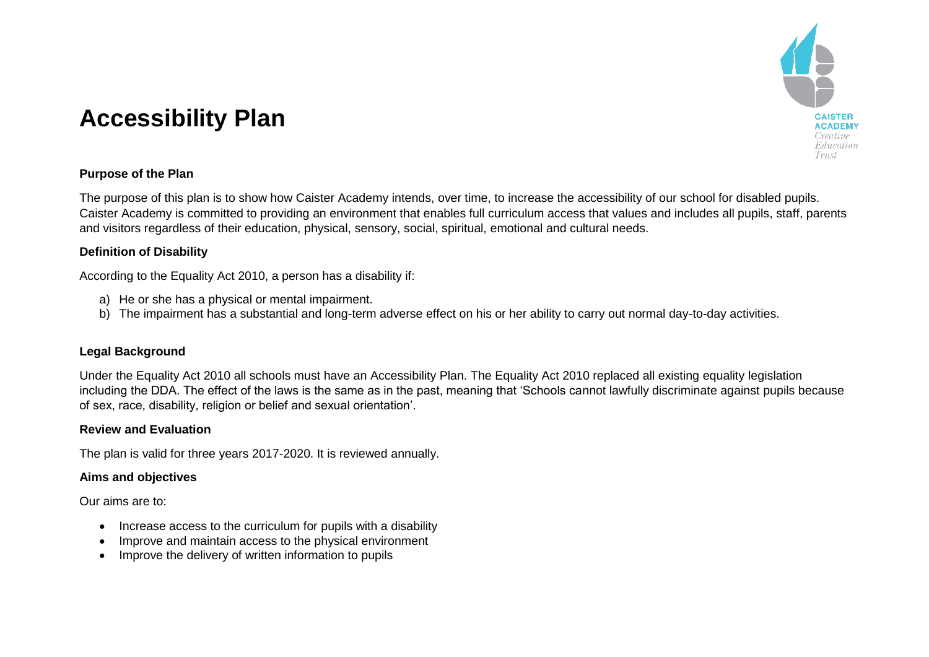

# **Accessibility Plan**

## **Purpose of the Plan**

The purpose of this plan is to show how Caister Academy intends, over time, to increase the accessibility of our school for disabled pupils. Caister Academy is committed to providing an environment that enables full curriculum access that values and includes all pupils, staff, parents and visitors regardless of their education, physical, sensory, social, spiritual, emotional and cultural needs.

### **Definition of Disability**

According to the Equality Act 2010, a person has a disability if:

- a) He or she has a physical or mental impairment.
- b) The impairment has a substantial and long-term adverse effect on his or her ability to carry out normal day-to-day activities.

## **Legal Background**

Under the Equality Act 2010 all schools must have an Accessibility Plan. The Equality Act 2010 replaced all existing equality legislation including the DDA. The effect of the laws is the same as in the past, meaning that 'Schools cannot lawfully discriminate against pupils because of sex, race, disability, religion or belief and sexual orientation'.

#### **Review and Evaluation**

The plan is valid for three years 2017-2020. It is reviewed annually.

#### **Aims and objectives**

Our aims are to:

- Increase access to the curriculum for pupils with a disability
- Improve and maintain access to the physical environment
- Improve the delivery of written information to pupils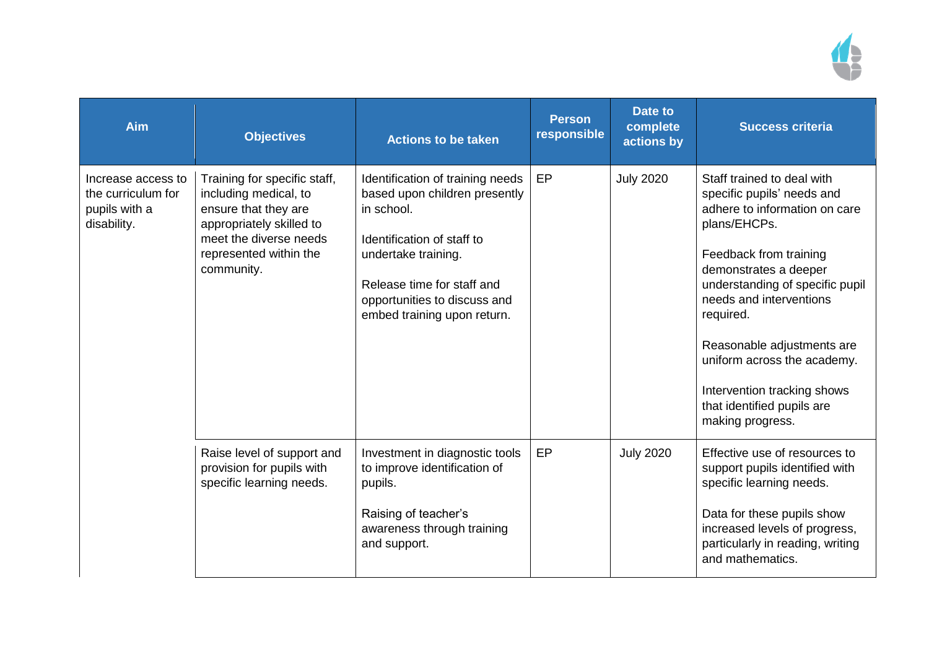

| Aim                                                                      | <b>Objectives</b>                                                                                                                                                           | <b>Actions to be taken</b>                                                                                                                                                                                                        | <b>Person</b><br>responsible | Date to<br>complete<br>actions by | <b>Success criteria</b>                                                                                                                                                                                                                                                                                                                                                               |
|--------------------------------------------------------------------------|-----------------------------------------------------------------------------------------------------------------------------------------------------------------------------|-----------------------------------------------------------------------------------------------------------------------------------------------------------------------------------------------------------------------------------|------------------------------|-----------------------------------|---------------------------------------------------------------------------------------------------------------------------------------------------------------------------------------------------------------------------------------------------------------------------------------------------------------------------------------------------------------------------------------|
| Increase access to<br>the curriculum for<br>pupils with a<br>disability. | Training for specific staff,<br>including medical, to<br>ensure that they are<br>appropriately skilled to<br>meet the diverse needs<br>represented within the<br>community. | Identification of training needs<br>based upon children presently<br>in school.<br>Identification of staff to<br>undertake training.<br>Release time for staff and<br>opportunities to discuss and<br>embed training upon return. | EP                           | <b>July 2020</b>                  | Staff trained to deal with<br>specific pupils' needs and<br>adhere to information on care<br>plans/EHCPs.<br>Feedback from training<br>demonstrates a deeper<br>understanding of specific pupil<br>needs and interventions<br>required.<br>Reasonable adjustments are<br>uniform across the academy.<br>Intervention tracking shows<br>that identified pupils are<br>making progress. |
|                                                                          | Raise level of support and<br>provision for pupils with<br>specific learning needs.                                                                                         | Investment in diagnostic tools<br>to improve identification of<br>pupils.<br>Raising of teacher's<br>awareness through training<br>and support.                                                                                   | EP                           | <b>July 2020</b>                  | Effective use of resources to<br>support pupils identified with<br>specific learning needs.<br>Data for these pupils show<br>increased levels of progress,<br>particularly in reading, writing<br>and mathematics.                                                                                                                                                                    |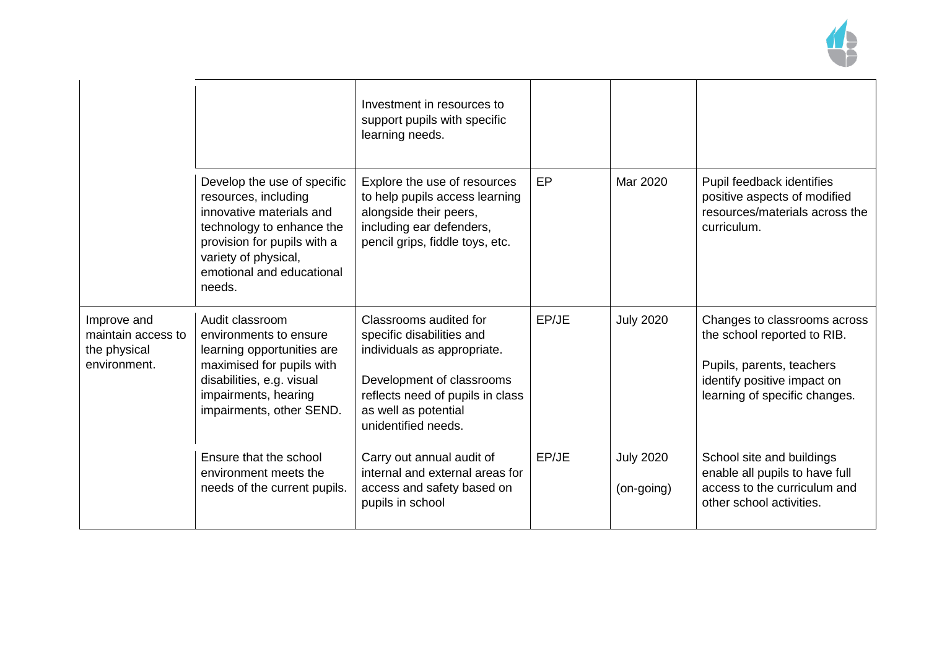

|                                                                   |                                                                                                                                                                                                            | Investment in resources to<br>support pupils with specific<br>learning needs.                                                                                                                      |       |                                |                                                                                                                                                          |
|-------------------------------------------------------------------|------------------------------------------------------------------------------------------------------------------------------------------------------------------------------------------------------------|----------------------------------------------------------------------------------------------------------------------------------------------------------------------------------------------------|-------|--------------------------------|----------------------------------------------------------------------------------------------------------------------------------------------------------|
|                                                                   | Develop the use of specific<br>resources, including<br>innovative materials and<br>technology to enhance the<br>provision for pupils with a<br>variety of physical,<br>emotional and educational<br>needs. | Explore the use of resources<br>to help pupils access learning<br>alongside their peers,<br>including ear defenders,<br>pencil grips, fiddle toys, etc.                                            | EP    | Mar 2020                       | Pupil feedback identifies<br>positive aspects of modified<br>resources/materials across the<br>curriculum.                                               |
| Improve and<br>maintain access to<br>the physical<br>environment. | Audit classroom<br>environments to ensure<br>learning opportunities are<br>maximised for pupils with<br>disabilities, e.g. visual<br>impairments, hearing<br>impairments, other SEND.                      | Classrooms audited for<br>specific disabilities and<br>individuals as appropriate.<br>Development of classrooms<br>reflects need of pupils in class<br>as well as potential<br>unidentified needs. | EP/JE | <b>July 2020</b>               | Changes to classrooms across<br>the school reported to RIB.<br>Pupils, parents, teachers<br>identify positive impact on<br>learning of specific changes. |
|                                                                   | Ensure that the school<br>environment meets the<br>needs of the current pupils.                                                                                                                            | Carry out annual audit of<br>internal and external areas for<br>access and safety based on<br>pupils in school                                                                                     | EP/JE | <b>July 2020</b><br>(on-going) | School site and buildings<br>enable all pupils to have full<br>access to the curriculum and<br>other school activities.                                  |